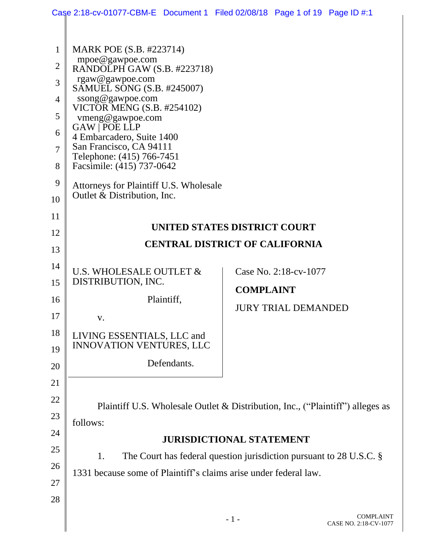|                |                                                                                | Case 2:18-cv-01077-CBM-E Document 1 Filed 02/08/18 Page 1 of 19 Page ID #:1 |  |  |  |
|----------------|--------------------------------------------------------------------------------|-----------------------------------------------------------------------------|--|--|--|
|                |                                                                                |                                                                             |  |  |  |
| $\mathbf{1}$   | MARK POE (S.B. #223714)                                                        |                                                                             |  |  |  |
| $\overline{2}$ | mpoe@gawpoe.com<br>RANDOLPH GAW (S.B. #223718)                                 |                                                                             |  |  |  |
| 3              | rgaw@gawpoe.com<br>SAMUEL SONG (S.B. #245007)                                  |                                                                             |  |  |  |
| 4              | ssong@gawpoe.com<br>VICTOR MENG (S.B. #254102)                                 |                                                                             |  |  |  |
| 5              | vmeng@gawpoe.com                                                               |                                                                             |  |  |  |
| 6              | <b>GAW   POE LLP</b><br>4 Embarcadero, Suite 1400                              |                                                                             |  |  |  |
| $\overline{7}$ | San Francisco, CA 94111<br>Telephone: (415) 766-7451                           |                                                                             |  |  |  |
| 8              | Facsimile: (415) 737-0642                                                      |                                                                             |  |  |  |
| 9              | Attorneys for Plaintiff U.S. Wholesale                                         |                                                                             |  |  |  |
| 10             | Outlet & Distribution, Inc.                                                    |                                                                             |  |  |  |
| 11             |                                                                                |                                                                             |  |  |  |
| 12             | UNITED STATES DISTRICT COURT<br><b>CENTRAL DISTRICT OF CALIFORNIA</b>          |                                                                             |  |  |  |
| 13             |                                                                                |                                                                             |  |  |  |
| 14             | U.S. WHOLESALE OUTLET &                                                        | Case No. 2:18-cv-1077                                                       |  |  |  |
| 15             | DISTRIBUTION, INC.                                                             | <b>COMPLAINT</b>                                                            |  |  |  |
| 16             | Plaintiff,                                                                     | <b>JURY TRIAL DEMANDED</b>                                                  |  |  |  |
| 17             | V.                                                                             |                                                                             |  |  |  |
| 18             | LIVING ESSENTIALS, LLC and<br><b>INNOVATION VENTURES, LLC</b>                  |                                                                             |  |  |  |
| 19             |                                                                                |                                                                             |  |  |  |
| 20             | Defendants.                                                                    |                                                                             |  |  |  |
| 21             |                                                                                |                                                                             |  |  |  |
| 22             | Plaintiff U.S. Wholesale Outlet & Distribution, Inc., ("Plaintiff") alleges as |                                                                             |  |  |  |
| 23             | follows:                                                                       |                                                                             |  |  |  |
| 24             |                                                                                | <b>JURISDICTIONAL STATEMENT</b>                                             |  |  |  |
| 25             | 1.                                                                             | The Court has federal question jurisdiction pursuant to $28$ U.S.C. $\S$    |  |  |  |
| 26             | 1331 because some of Plaintiff's claims arise under federal law.               |                                                                             |  |  |  |
| 27             |                                                                                |                                                                             |  |  |  |
| 28             |                                                                                |                                                                             |  |  |  |
|                |                                                                                |                                                                             |  |  |  |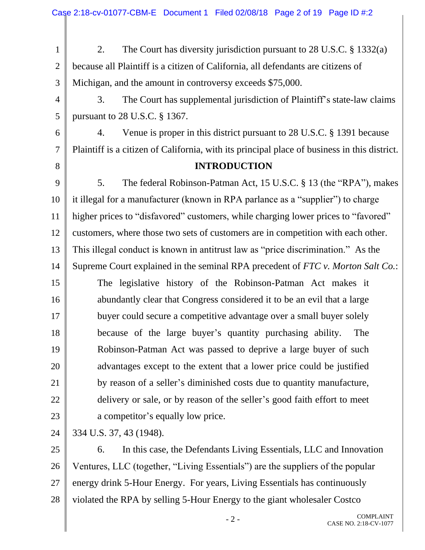|                | Case 2:18-cv-01077-CBM-E Document 1 Filed 02/08/18 Page 2 of 19 Page ID #:2                  |  |  |  |
|----------------|----------------------------------------------------------------------------------------------|--|--|--|
|                |                                                                                              |  |  |  |
| $\mathbf{1}$   | The Court has diversity jurisdiction pursuant to 28 U.S.C. $\S$ 1332(a)<br>2.                |  |  |  |
| $\overline{2}$ | because all Plaintiff is a citizen of California, all defendants are citizens of             |  |  |  |
| 3              | Michigan, and the amount in controversy exceeds \$75,000.                                    |  |  |  |
| $\overline{4}$ | The Court has supplemental jurisdiction of Plaintiff's state-law claims<br>3.                |  |  |  |
| 5              | pursuant to 28 U.S.C. § 1367.                                                                |  |  |  |
| 6              | Venue is proper in this district pursuant to 28 U.S.C. § 1391 because<br>4.                  |  |  |  |
| $\tau$         | Plaintiff is a citizen of California, with its principal place of business in this district. |  |  |  |
| 8              | <b>INTRODUCTION</b>                                                                          |  |  |  |
| 9              | The federal Robinson-Patman Act, 15 U.S.C. § 13 (the "RPA"), makes<br>5.                     |  |  |  |
| 10             | it illegal for a manufacturer (known in RPA parlance as a "supplier") to charge              |  |  |  |
| 11             | higher prices to "disfavored" customers, while charging lower prices to "favored"            |  |  |  |
| 12             | customers, where those two sets of customers are in competition with each other.             |  |  |  |
| 13             | This illegal conduct is known in antitrust law as "price discrimination." As the             |  |  |  |
| 14             | Supreme Court explained in the seminal RPA precedent of FTC v. Morton Salt Co.:              |  |  |  |
| 15             | The legislative history of the Robinson-Patman Act makes it                                  |  |  |  |
| 16             | abundantly clear that Congress considered it to be an evil that a large                      |  |  |  |
| 17             | buyer could secure a competitive advantage over a small buyer solely                         |  |  |  |
| 18             | because of the large buyer's quantity purchasing ability.<br>The                             |  |  |  |
| 19             | Robinson-Patman Act was passed to deprive a large buyer of such                              |  |  |  |
| 20             | advantages except to the extent that a lower price could be justified                        |  |  |  |
| 21             | by reason of a seller's diminished costs due to quantity manufacture,                        |  |  |  |
| 22             | delivery or sale, or by reason of the seller's good faith effort to meet                     |  |  |  |
| 23             | a competitor's equally low price.                                                            |  |  |  |
| 24             | 334 U.S. 37, 43 (1948).                                                                      |  |  |  |
| 25             | In this case, the Defendants Living Essentials, LLC and Innovation<br>6.                     |  |  |  |
| 26             | Ventures, LLC (together, "Living Essentials") are the suppliers of the popular               |  |  |  |
| 27             | energy drink 5-Hour Energy. For years, Living Essentials has continuously                    |  |  |  |
| 28             | violated the RPA by selling 5-Hour Energy to the giant wholesaler Costco                     |  |  |  |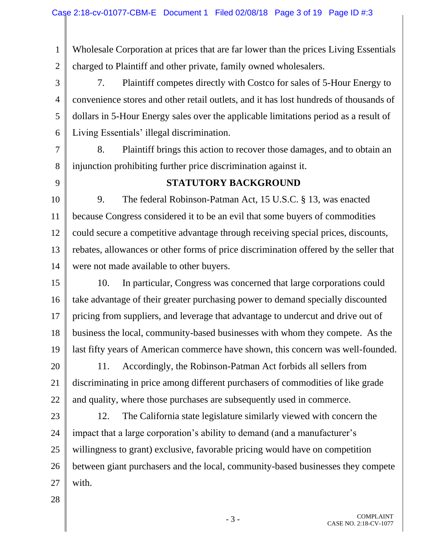1 2 Wholesale Corporation at prices that are far lower than the prices Living Essentials charged to Plaintiff and other private, family owned wholesalers.

3 4 5 6 7. Plaintiff competes directly with Costco for sales of 5-Hour Energy to convenience stores and other retail outlets, and it has lost hundreds of thousands of dollars in 5-Hour Energy sales over the applicable limitations period as a result of Living Essentials' illegal discrimination.

7 8 8. Plaintiff brings this action to recover those damages, and to obtain an injunction prohibiting further price discrimination against it.

9

### **STATUTORY BACKGROUND**

10 11 12 13 14 9. The federal Robinson-Patman Act, 15 U.S.C. § 13, was enacted because Congress considered it to be an evil that some buyers of commodities could secure a competitive advantage through receiving special prices, discounts, rebates, allowances or other forms of price discrimination offered by the seller that were not made available to other buyers.

15 16 17 18 19 10. In particular, Congress was concerned that large corporations could take advantage of their greater purchasing power to demand specially discounted pricing from suppliers, and leverage that advantage to undercut and drive out of business the local, community-based businesses with whom they compete. As the last fifty years of American commerce have shown, this concern was well-founded.

20 21 22 11. Accordingly, the Robinson-Patman Act forbids all sellers from discriminating in price among different purchasers of commodities of like grade and quality, where those purchases are subsequently used in commerce.

23 24 25 26 27 12. The California state legislature similarly viewed with concern the impact that a large corporation's ability to demand (and a manufacturer's willingness to grant) exclusive, favorable pricing would have on competition between giant purchasers and the local, community-based businesses they compete with.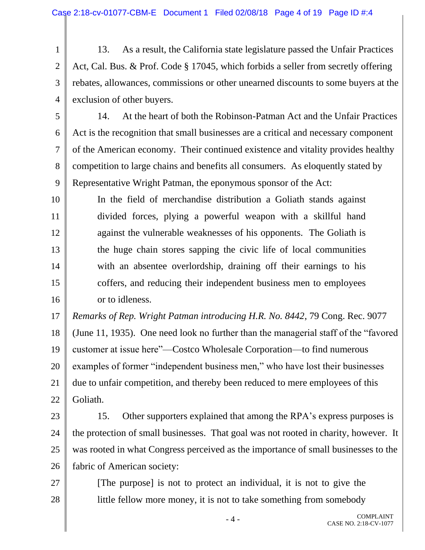1 2 3 4 13. As a result, the California state legislature passed the Unfair Practices Act, Cal. Bus. & Prof. Code § 17045, which forbids a seller from secretly offering rebates, allowances, commissions or other unearned discounts to some buyers at the exclusion of other buyers.

- 5 6 7 8 9 14. At the heart of both the Robinson-Patman Act and the Unfair Practices Act is the recognition that small businesses are a critical and necessary component of the American economy. Their continued existence and vitality provides healthy competition to large chains and benefits all consumers. As eloquently stated by Representative Wright Patman, the eponymous sponsor of the Act:
- 10 14 16 In the field of merchandise distribution a Goliath stands against divided forces, plying a powerful weapon with a skillful hand against the vulnerable weaknesses of his opponents. The Goliath is the huge chain stores sapping the civic life of local communities with an absentee overlordship, draining off their earnings to his coffers, and reducing their independent business men to employees or to idleness.

11

12

13

15

27

28

17 18 19 20 21 22 *Remarks of Rep. Wright Patman introducing H.R. No. 8442*, 79 Cong. Rec. 9077 (June 11, 1935). One need look no further than the managerial staff of the "favored customer at issue here"—Costco Wholesale Corporation—to find numerous examples of former "independent business men," who have lost their businesses due to unfair competition, and thereby been reduced to mere employees of this Goliath.

- 23 24 25 26 15. Other supporters explained that among the RPA's express purposes is the protection of small businesses. That goal was not rooted in charity, however. It was rooted in what Congress perceived as the importance of small businesses to the fabric of American society:
	- [The purpose] is not to protect an individual, it is not to give the little fellow more money, it is not to take something from somebody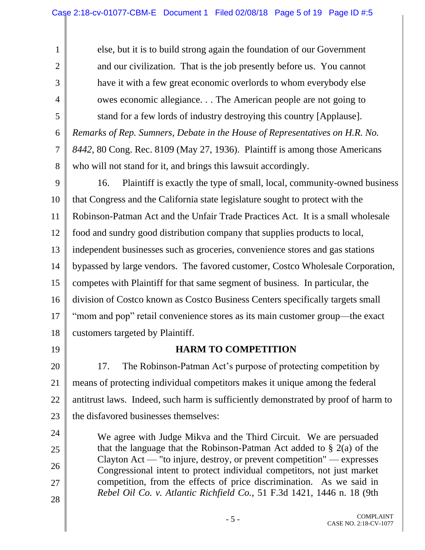else, but it is to build strong again the foundation of our Government and our civilization. That is the job presently before us. You cannot have it with a few great economic overlords to whom everybody else owes economic allegiance. . . The American people are not going to stand for a few lords of industry destroying this country [Applause]. *Remarks of Rep. Sumners, Debate in the House of Representatives on H.R. No.* 

7 8 *8442*, 80 Cong. Rec. 8109 (May 27, 1936). Plaintiff is among those Americans who will not stand for it, and brings this lawsuit accordingly.

9 10 11 12 13 14 15 16 17 18 16. Plaintiff is exactly the type of small, local, community-owned business that Congress and the California state legislature sought to protect with the Robinson-Patman Act and the Unfair Trade Practices Act. It is a small wholesale food and sundry good distribution company that supplies products to local, independent businesses such as groceries, convenience stores and gas stations bypassed by large vendors. The favored customer, Costco Wholesale Corporation, competes with Plaintiff for that same segment of business. In particular, the division of Costco known as Costco Business Centers specifically targets small "mom and pop" retail convenience stores as its main customer group—the exact customers targeted by Plaintiff.

19

24

25

26

27

28

1

2

3

4

5

6

## **HARM TO COMPETITION**

20 21 22 23 17. The Robinson-Patman Act's purpose of protecting competition by means of protecting individual competitors makes it unique among the federal antitrust laws. Indeed, such harm is sufficiently demonstrated by proof of harm to the disfavored businesses themselves:

We agree with Judge Mikva and the Third Circuit. We are persuaded that the language that the Robinson-Patman Act added to  $\S$  2(a) of the Clayton Act — "to injure, destroy, or prevent competition" — expresses Congressional intent to protect individual competitors, not just market competition, from the effects of price discrimination. As we said in *Rebel Oil Co. v. Atlantic Richfield Co.*, 51 F.3d 1421, 1446 n. 18 (9th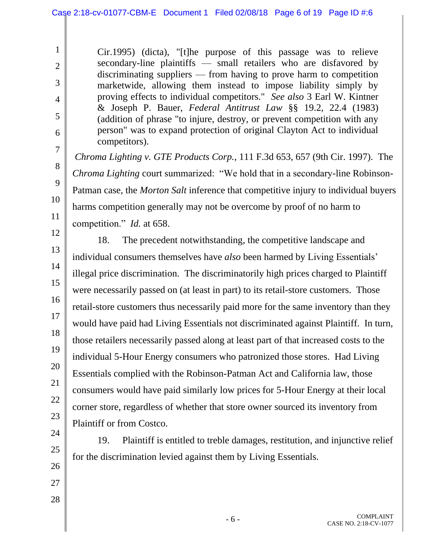Cir.1995) (dicta), "[t]he purpose of this passage was to relieve secondary-line plaintiffs — small retailers who are disfavored by discriminating suppliers — from having to prove harm to competition marketwide, allowing them instead to impose liability simply by proving effects to individual competitors." *See also* 3 Earl W. Kintner & Joseph P. Bauer, *Federal Antitrust Law* §§ 19.2, 22.4 (1983) (addition of phrase "to injure, destroy, or prevent competition with any person" was to expand protection of original Clayton Act to individual competitors).

*Chroma Lighting v. GTE Products Corp.*, 111 F.3d 653, 657 (9th Cir. 1997). The *Chroma Lighting* court summarized: "We hold that in a secondary-line Robinson-Patman case, the *Morton Salt* inference that competitive injury to individual buyers harms competition generally may not be overcome by proof of no harm to competition." *Id.* at 658.

12 13

25

26

27

28

1

2

3

4

5

6

7

8

9

10

11

14 15 16 17 18 19 20 21 22 23 24 18. The precedent notwithstanding, the competitive landscape and individual consumers themselves have *also* been harmed by Living Essentials' illegal price discrimination. The discriminatorily high prices charged to Plaintiff were necessarily passed on (at least in part) to its retail-store customers. Those retail-store customers thus necessarily paid more for the same inventory than they would have paid had Living Essentials not discriminated against Plaintiff. In turn, those retailers necessarily passed along at least part of that increased costs to the individual 5-Hour Energy consumers who patronized those stores. Had Living Essentials complied with the Robinson-Patman Act and California law, those consumers would have paid similarly low prices for 5-Hour Energy at their local corner store, regardless of whether that store owner sourced its inventory from Plaintiff or from Costco.

19. Plaintiff is entitled to treble damages, restitution, and injunctive relief for the discrimination levied against them by Living Essentials.

> COMPLAINT CASE NO. 2:18-CV-1077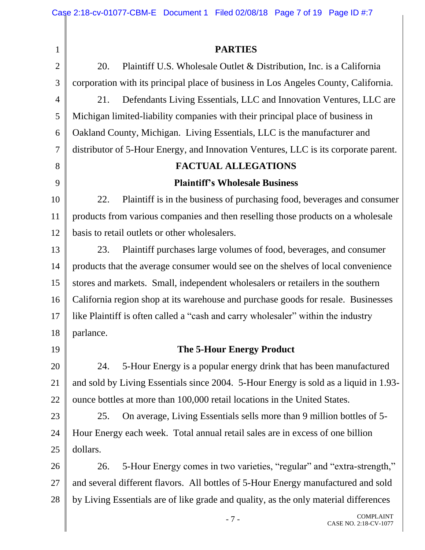|                | Case 2:18-cv-01077-CBM-E Document 1 Filed 02/08/18 Page 7 of 19 Page ID #:7          |
|----------------|--------------------------------------------------------------------------------------|
|                |                                                                                      |
| $\mathbf{1}$   | <b>PARTIES</b>                                                                       |
| $\overline{2}$ | Plaintiff U.S. Wholesale Outlet & Distribution, Inc. is a California<br>20.          |
| 3              | corporation with its principal place of business in Los Angeles County, California.  |
| $\overline{4}$ | Defendants Living Essentials, LLC and Innovation Ventures, LLC are<br>21.            |
| 5              | Michigan limited-liability companies with their principal place of business in       |
| 6              | Oakland County, Michigan. Living Essentials, LLC is the manufacturer and             |
| $\overline{7}$ | distributor of 5-Hour Energy, and Innovation Ventures, LLC is its corporate parent.  |
| 8              | <b>FACTUAL ALLEGATIONS</b>                                                           |
| 9              | <b>Plaintiff's Wholesale Business</b>                                                |
| 10             | Plaintiff is in the business of purchasing food, beverages and consumer<br>22.       |
| 11             | products from various companies and then reselling those products on a wholesale     |
| 12             | basis to retail outlets or other wholesalers.                                        |
| 13             | Plaintiff purchases large volumes of food, beverages, and consumer<br>23.            |
| 14             | products that the average consumer would see on the shelves of local convenience     |
| 15             | stores and markets. Small, independent wholesalers or retailers in the southern      |
| 16             | California region shop at its warehouse and purchase goods for resale. Businesses    |
| 17             | like Plaintiff is often called a "cash and carry wholesaler" within the industry     |
| 18             | parlance.                                                                            |
| 19             | <b>The 5-Hour Energy Product</b>                                                     |
| 20             | 5-Hour Energy is a popular energy drink that has been manufactured<br>24.            |
| 21             | and sold by Living Essentials since 2004. 5-Hour Energy is sold as a liquid in 1.93- |
| 22             | ounce bottles at more than 100,000 retail locations in the United States.            |
| 23             | On average, Living Essentials sells more than 9 million bottles of 5-<br>25.         |
| 24             | Hour Energy each week. Total annual retail sales are in excess of one billion        |
| 25             | dollars.                                                                             |
| 26             | 5-Hour Energy comes in two varieties, "regular" and "extra-strength,"<br>26.         |
| 27             | and several different flavors. All bottles of 5-Hour Energy manufactured and sold    |
| 28             | by Living Essentials are of like grade and quality, as the only material differences |
|                | <b>COMPLAINT</b><br>$-7-$<br>CASE NO. 2:18-CV-1077                                   |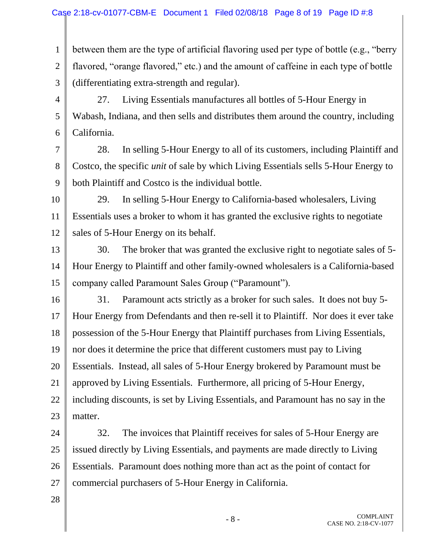1 2 3 between them are the type of artificial flavoring used per type of bottle (e.g., "berry flavored, "orange flavored," etc.) and the amount of caffeine in each type of bottle (differentiating extra-strength and regular).

4 5 6 27. Living Essentials manufactures all bottles of 5-Hour Energy in Wabash, Indiana, and then sells and distributes them around the country, including California.

7 8

9

28. In selling 5-Hour Energy to all of its customers, including Plaintiff and Costco, the specific *unit* of sale by which Living Essentials sells 5-Hour Energy to both Plaintiff and Costco is the individual bottle.

10 11 12 29. In selling 5-Hour Energy to California-based wholesalers, Living Essentials uses a broker to whom it has granted the exclusive rights to negotiate sales of 5-Hour Energy on its behalf.

13 14 15 30. The broker that was granted the exclusive right to negotiate sales of 5- Hour Energy to Plaintiff and other family-owned wholesalers is a California-based company called Paramount Sales Group ("Paramount").

16 17 18 19 20 21 22 23 31. Paramount acts strictly as a broker for such sales. It does not buy 5- Hour Energy from Defendants and then re-sell it to Plaintiff. Nor does it ever take possession of the 5-Hour Energy that Plaintiff purchases from Living Essentials, nor does it determine the price that different customers must pay to Living Essentials. Instead, all sales of 5-Hour Energy brokered by Paramount must be approved by Living Essentials. Furthermore, all pricing of 5-Hour Energy, including discounts, is set by Living Essentials, and Paramount has no say in the matter.

24 25 26 27 32. The invoices that Plaintiff receives for sales of 5-Hour Energy are issued directly by Living Essentials, and payments are made directly to Living Essentials. Paramount does nothing more than act as the point of contact for commercial purchasers of 5-Hour Energy in California.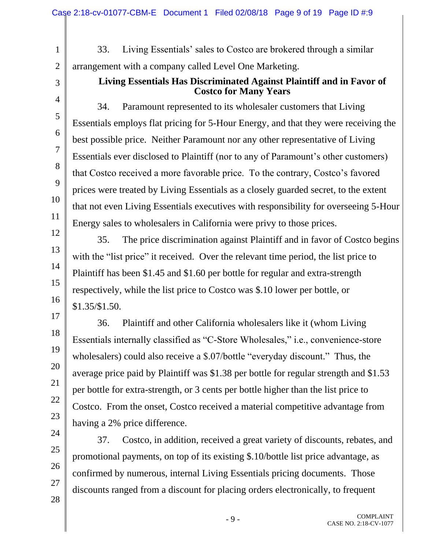33. Living Essentials' sales to Costco are brokered through a similar arrangement with a company called Level One Marketing.

3 4

5

6

7

8

9

10

11

12

13

14

15

16

17

18

19

20

21

22

23

24

25

26

27

28

1

2

## **Living Essentials Has Discriminated Against Plaintiff and in Favor of Costco for Many Years**

34. Paramount represented to its wholesaler customers that Living Essentials employs flat pricing for 5-Hour Energy, and that they were receiving the best possible price. Neither Paramount nor any other representative of Living Essentials ever disclosed to Plaintiff (nor to any of Paramount's other customers) that Costco received a more favorable price. To the contrary, Costco's favored prices were treated by Living Essentials as a closely guarded secret, to the extent that not even Living Essentials executives with responsibility for overseeing 5-Hour Energy sales to wholesalers in California were privy to those prices.

35. The price discrimination against Plaintiff and in favor of Costco begins with the "list price" it received. Over the relevant time period, the list price to Plaintiff has been \$1.45 and \$1.60 per bottle for regular and extra-strength respectively, while the list price to Costco was \$.10 lower per bottle, or \$1.35/\$1.50.

36. Plaintiff and other California wholesalers like it (whom Living Essentials internally classified as "C-Store Wholesales," i.e., convenience-store wholesalers) could also receive a \$.07/bottle "everyday discount." Thus, the average price paid by Plaintiff was \$1.38 per bottle for regular strength and \$1.53 per bottle for extra-strength, or 3 cents per bottle higher than the list price to Costco. From the onset, Costco received a material competitive advantage from having a 2% price difference.

37. Costco, in addition, received a great variety of discounts, rebates, and promotional payments, on top of its existing \$.10/bottle list price advantage, as confirmed by numerous, internal Living Essentials pricing documents. Those discounts ranged from a discount for placing orders electronically, to frequent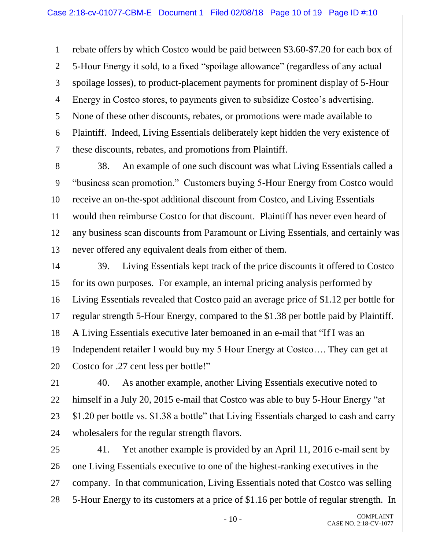1 2 3 4 5 6 7 rebate offers by which Costco would be paid between \$3.60-\$7.20 for each box of 5-Hour Energy it sold, to a fixed "spoilage allowance" (regardless of any actual spoilage losses), to product-placement payments for prominent display of 5-Hour Energy in Costco stores, to payments given to subsidize Costco's advertising. None of these other discounts, rebates, or promotions were made available to Plaintiff. Indeed, Living Essentials deliberately kept hidden the very existence of these discounts, rebates, and promotions from Plaintiff.

- 8 9 10 11 12 13 38. An example of one such discount was what Living Essentials called a "business scan promotion." Customers buying 5-Hour Energy from Costco would receive an on-the-spot additional discount from Costco, and Living Essentials would then reimburse Costco for that discount. Plaintiff has never even heard of any business scan discounts from Paramount or Living Essentials, and certainly was never offered any equivalent deals from either of them.
- 14 15 16 17 18 19 20 39. Living Essentials kept track of the price discounts it offered to Costco for its own purposes. For example, an internal pricing analysis performed by Living Essentials revealed that Costco paid an average price of \$1.12 per bottle for regular strength 5-Hour Energy, compared to the \$1.38 per bottle paid by Plaintiff. A Living Essentials executive later bemoaned in an e-mail that "If I was an Independent retailer I would buy my 5 Hour Energy at Costco…. They can get at Costco for .27 cent less per bottle!"
- 21 22 23 24 40. As another example, another Living Essentials executive noted to himself in a July 20, 2015 e-mail that Costco was able to buy 5-Hour Energy "at \$1.20 per bottle vs. \$1.38 a bottle" that Living Essentials charged to cash and carry wholesalers for the regular strength flavors.
- 25 26 27 28 41. Yet another example is provided by an April 11, 2016 e-mail sent by one Living Essentials executive to one of the highest-ranking executives in the company. In that communication, Living Essentials noted that Costco was selling 5-Hour Energy to its customers at a price of \$1.16 per bottle of regular strength. In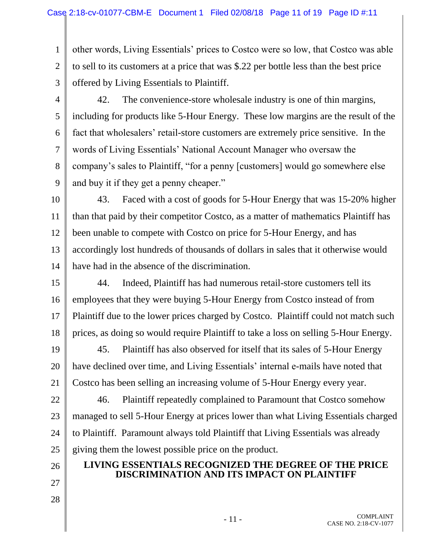1 2 3 other words, Living Essentials' prices to Costco were so low, that Costco was able to sell to its customers at a price that was \$.22 per bottle less than the best price offered by Living Essentials to Plaintiff.

4

5

6

7

8

9

42. The convenience-store wholesale industry is one of thin margins, including for products like 5-Hour Energy. These low margins are the result of the fact that wholesalers' retail-store customers are extremely price sensitive. In the words of Living Essentials' National Account Manager who oversaw the company's sales to Plaintiff, "for a penny [customers] would go somewhere else and buy it if they get a penny cheaper."

10 11 12 13 14 43. Faced with a cost of goods for 5-Hour Energy that was 15-20% higher than that paid by their competitor Costco, as a matter of mathematics Plaintiff has been unable to compete with Costco on price for 5-Hour Energy, and has accordingly lost hundreds of thousands of dollars in sales that it otherwise would have had in the absence of the discrimination.

15 16 17 18 44. Indeed, Plaintiff has had numerous retail-store customers tell its employees that they were buying 5-Hour Energy from Costco instead of from Plaintiff due to the lower prices charged by Costco. Plaintiff could not match such prices, as doing so would require Plaintiff to take a loss on selling 5-Hour Energy.

19 20 21 45. Plaintiff has also observed for itself that its sales of 5-Hour Energy have declined over time, and Living Essentials' internal e-mails have noted that Costco has been selling an increasing volume of 5-Hour Energy every year.

22 23 24 25 46. Plaintiff repeatedly complained to Paramount that Costco somehow managed to sell 5-Hour Energy at prices lower than what Living Essentials charged to Plaintiff. Paramount always told Plaintiff that Living Essentials was already giving them the lowest possible price on the product.

## **LIVING ESSENTIALS RECOGNIZED THE DEGREE OF THE PRICE DISCRIMINATION AND ITS IMPACT ON PLAINTIFF**

26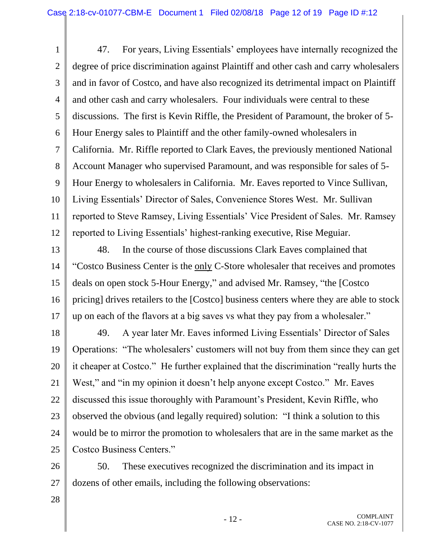1 2 3 4 5 6 7 8 9 10 11 12 47. For years, Living Essentials' employees have internally recognized the degree of price discrimination against Plaintiff and other cash and carry wholesalers and in favor of Costco, and have also recognized its detrimental impact on Plaintiff and other cash and carry wholesalers. Four individuals were central to these discussions. The first is Kevin Riffle, the President of Paramount, the broker of 5- Hour Energy sales to Plaintiff and the other family-owned wholesalers in California. Mr. Riffle reported to Clark Eaves, the previously mentioned National Account Manager who supervised Paramount, and was responsible for sales of 5- Hour Energy to wholesalers in California. Mr. Eaves reported to Vince Sullivan, Living Essentials' Director of Sales, Convenience Stores West. Mr. Sullivan reported to Steve Ramsey, Living Essentials' Vice President of Sales. Mr. Ramsey reported to Living Essentials' highest-ranking executive, Rise Meguiar.

13 14 15 16 17 48. In the course of those discussions Clark Eaves complained that "Costco Business Center is the only C-Store wholesaler that receives and promotes deals on open stock 5-Hour Energy," and advised Mr. Ramsey, "the [Costco pricing] drives retailers to the [Costco] business centers where they are able to stock up on each of the flavors at a big saves vs what they pay from a wholesaler."

18 19 20 21 22 23 24 25 49. A year later Mr. Eaves informed Living Essentials' Director of Sales Operations: "The wholesalers' customers will not buy from them since they can get it cheaper at Costco." He further explained that the discrimination "really hurts the West," and "in my opinion it doesn't help anyone except Costco." Mr. Eaves discussed this issue thoroughly with Paramount's President, Kevin Riffle, who observed the obvious (and legally required) solution: "I think a solution to this would be to mirror the promotion to wholesalers that are in the same market as the Costco Business Centers."

26 27 50. These executives recognized the discrimination and its impact in dozens of other emails, including the following observations: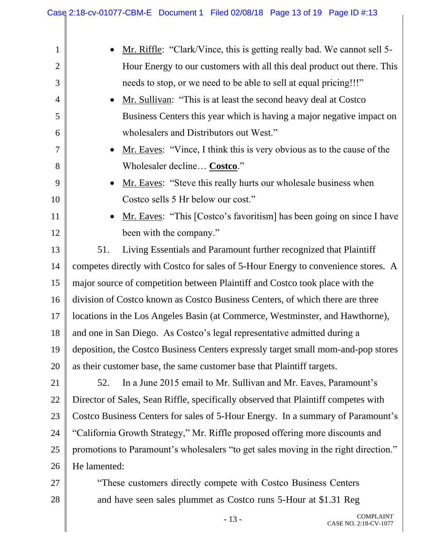| $\mathbf{1}$   | Mr. Riffle: "Clark/Vince, this is getting really bad. We cannot sell 5-             |  |  |
|----------------|-------------------------------------------------------------------------------------|--|--|
| $\overline{2}$ | Hour Energy to our customers with all this deal product out there. This             |  |  |
| 3              | needs to stop, or we need to be able to sell at equal pricing!!!"                   |  |  |
| $\overline{4}$ | Mr. Sullivan: "This is at least the second heavy deal at Costco                     |  |  |
| 5              | Business Centers this year which is having a major negative impact on               |  |  |
| 6              | wholesalers and Distributors out West."                                             |  |  |
| 7              | Mr. Eaves: "Vince, I think this is very obvious as to the cause of the              |  |  |
| 8              | Wholesaler decline Costco."                                                         |  |  |
| 9              | Mr. Eaves: "Steve this really hurts our wholesale business when                     |  |  |
| 10             | Costco sells 5 Hr below our cost."                                                  |  |  |
| 11             | Mr. Eaves: "This [Costco's favoritism] has been going on since I have               |  |  |
| 12             | been with the company."                                                             |  |  |
| 13             | Living Essentials and Paramount further recognized that Plaintiff<br>51.            |  |  |
| 14             | competes directly with Costco for sales of 5-Hour Energy to convenience stores. A   |  |  |
| 15             | major source of competition between Plaintiff and Costco took place with the        |  |  |
| 16             | division of Costco known as Costco Business Centers, of which there are three       |  |  |
| 17             | locations in the Los Angeles Basin (at Commerce, Westminster, and Hawthorne),       |  |  |
| 18             | and one in San Diego. As Costco's legal representative admitted during a            |  |  |
| 19             | deposition, the Costco Business Centers expressly target small mom-and-pop stores   |  |  |
| 20             | as their customer base, the same customer base that Plaintiff targets.              |  |  |
| 21             | In a June 2015 email to Mr. Sullivan and Mr. Eaves, Paramount's<br>52.              |  |  |
| 22             | Director of Sales, Sean Riffle, specifically observed that Plaintiff competes with  |  |  |
| 23             | Costco Business Centers for sales of 5-Hour Energy. In a summary of Paramount's     |  |  |
| 24             | "California Growth Strategy," Mr. Riffle proposed offering more discounts and       |  |  |
| 25             | promotions to Paramount's wholesalers "to get sales moving in the right direction." |  |  |
| 26             | He lamented:                                                                        |  |  |
| 27             | "These customers directly compete with Costco Business Centers                      |  |  |
| 28             | and have seen sales plummet as Costco runs 5-Hour at \$1.31 Reg                     |  |  |
|                | COMPI AINT                                                                          |  |  |

Π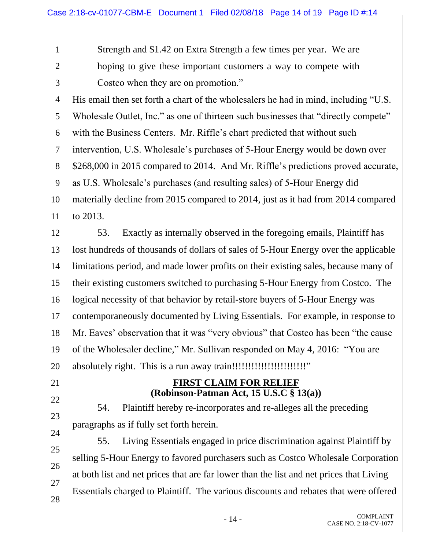1 2

3

Strength and \$1.42 on Extra Strength a few times per year. We are hoping to give these important customers a way to compete with Costco when they are on promotion."

4 5 6 7 8 9 10 11 His email then set forth a chart of the wholesalers he had in mind, including "U.S. Wholesale Outlet, Inc." as one of thirteen such businesses that "directly compete" with the Business Centers. Mr. Riffle's chart predicted that without such intervention, U.S. Wholesale's purchases of 5-Hour Energy would be down over \$268,000 in 2015 compared to 2014. And Mr. Riffle's predictions proved accurate, as U.S. Wholesale's purchases (and resulting sales) of 5-Hour Energy did materially decline from 2015 compared to 2014, just as it had from 2014 compared to 2013.

12 13 14 15 16 17 18 19 20 53. Exactly as internally observed in the foregoing emails, Plaintiff has lost hundreds of thousands of dollars of sales of 5-Hour Energy over the applicable limitations period, and made lower profits on their existing sales, because many of their existing customers switched to purchasing 5-Hour Energy from Costco. The logical necessity of that behavior by retail-store buyers of 5-Hour Energy was contemporaneously documented by Living Essentials. For example, in response to Mr. Eaves' observation that it was "very obvious" that Costco has been "the cause of the Wholesaler decline," Mr. Sullivan responded on May 4, 2016: "You are absolutely right. This is a run away train!!!!!!!!!!!!!!!!!!!!!!!"

# 21 22

## 23 24

25

26

27

28

54. Plaintiff hereby re-incorporates and re-alleges all the preceding paragraphs as if fully set forth herein.

**FIRST CLAIM FOR RELIEF (Robinson-Patman Act, 15 U.S.C § 13(a))**

55. Living Essentials engaged in price discrimination against Plaintiff by selling 5-Hour Energy to favored purchasers such as Costco Wholesale Corporation at both list and net prices that are far lower than the list and net prices that Living Essentials charged to Plaintiff. The various discounts and rebates that were offered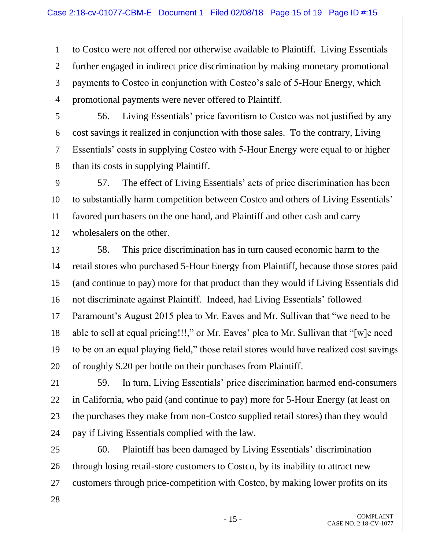1 2 3 4 to Costco were not offered nor otherwise available to Plaintiff. Living Essentials further engaged in indirect price discrimination by making monetary promotional payments to Costco in conjunction with Costco's sale of 5-Hour Energy, which promotional payments were never offered to Plaintiff.

5

6

7

8

56. Living Essentials' price favoritism to Costco was not justified by any cost savings it realized in conjunction with those sales. To the contrary, Living Essentials' costs in supplying Costco with 5-Hour Energy were equal to or higher than its costs in supplying Plaintiff.

9 10 11 12 57. The effect of Living Essentials' acts of price discrimination has been to substantially harm competition between Costco and others of Living Essentials' favored purchasers on the one hand, and Plaintiff and other cash and carry wholesalers on the other.

13 14 15 16 17 18 19 20 58. This price discrimination has in turn caused economic harm to the retail stores who purchased 5-Hour Energy from Plaintiff, because those stores paid (and continue to pay) more for that product than they would if Living Essentials did not discriminate against Plaintiff. Indeed, had Living Essentials' followed Paramount's August 2015 plea to Mr. Eaves and Mr. Sullivan that "we need to be able to sell at equal pricing!!!," or Mr. Eaves' plea to Mr. Sullivan that "[w]e need to be on an equal playing field," those retail stores would have realized cost savings of roughly \$.20 per bottle on their purchases from Plaintiff.

21 22 23 24 59. In turn, Living Essentials' price discrimination harmed end-consumers in California, who paid (and continue to pay) more for 5-Hour Energy (at least on the purchases they make from non-Costco supplied retail stores) than they would pay if Living Essentials complied with the law.

25 26 27 60. Plaintiff has been damaged by Living Essentials' discrimination through losing retail-store customers to Costco, by its inability to attract new customers through price-competition with Costco, by making lower profits on its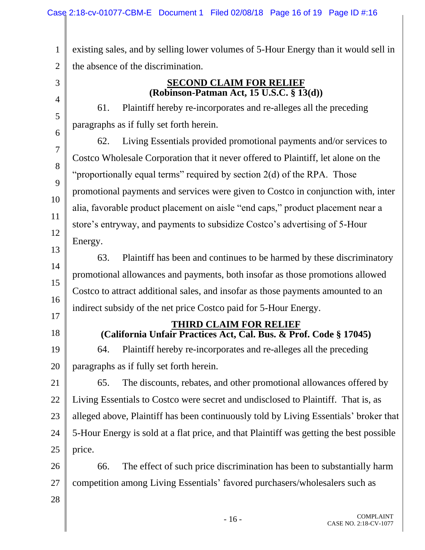1 2 existing sales, and by selling lower volumes of 5-Hour Energy than it would sell in the absence of the discrimination.

8

9

10

11

12

13

14

15

16

**SECOND CLAIM FOR RELIEF (Robinson-Patman Act, 15 U.S.C. § 13(d))**

61. Plaintiff hereby re-incorporates and re-alleges all the preceding paragraphs as if fully set forth herein.

62. Living Essentials provided promotional payments and/or services to Costco Wholesale Corporation that it never offered to Plaintiff, let alone on the "proportionally equal terms" required by section  $2(d)$  of the RPA. Those promotional payments and services were given to Costco in conjunction with, inter alia, favorable product placement on aisle "end caps," product placement near a store's entryway, and payments to subsidize Costco's advertising of 5-Hour Energy.

63. Plaintiff has been and continues to be harmed by these discriminatory promotional allowances and payments, both insofar as those promotions allowed Costco to attract additional sales, and insofar as those payments amounted to an indirect subsidy of the net price Costco paid for 5-Hour Energy.

- 17
- 18

### **THIRD CLAIM FOR RELIEF (California Unfair Practices Act, Cal. Bus. & Prof. Code § 17045)**

19 20 64. Plaintiff hereby re-incorporates and re-alleges all the preceding paragraphs as if fully set forth herein.

21 22 23 24 25 65. The discounts, rebates, and other promotional allowances offered by Living Essentials to Costco were secret and undisclosed to Plaintiff. That is, as alleged above, Plaintiff has been continuously told by Living Essentials' broker that 5-Hour Energy is sold at a flat price, and that Plaintiff was getting the best possible price.

26 27 66. The effect of such price discrimination has been to substantially harm competition among Living Essentials' favored purchasers/wholesalers such as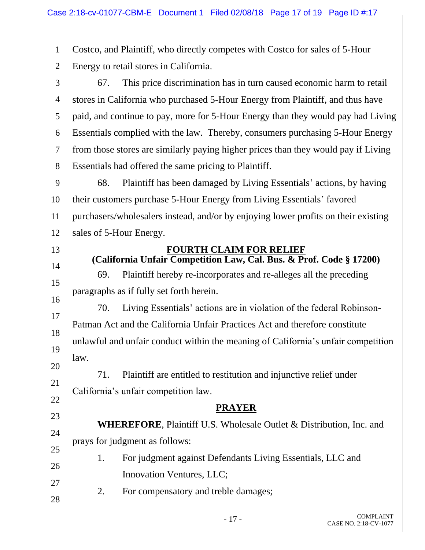1 2 Costco, and Plaintiff, who directly competes with Costco for sales of 5-Hour Energy to retail stores in California.

3 4 5 6 7 8 67. This price discrimination has in turn caused economic harm to retail stores in California who purchased 5-Hour Energy from Plaintiff, and thus have paid, and continue to pay, more for 5-Hour Energy than they would pay had Living Essentials complied with the law. Thereby, consumers purchasing 5-Hour Energy from those stores are similarly paying higher prices than they would pay if Living Essentials had offered the same pricing to Plaintiff.

9 10 11 12 68. Plaintiff has been damaged by Living Essentials' actions, by having their customers purchase 5-Hour Energy from Living Essentials' favored purchasers/wholesalers instead, and/or by enjoying lower profits on their existing sales of 5-Hour Energy.

#### **FOURTH CLAIM FOR RELIEF (California Unfair Competition Law, Cal. Bus. & Prof. Code § 17200)**

69. Plaintiff hereby re-incorporates and re-alleges all the preceding paragraphs as if fully set forth herein.

16 18 19 20 70. Living Essentials' actions are in violation of the federal Robinson-Patman Act and the California Unfair Practices Act and therefore constitute unlawful and unfair conduct within the meaning of California's unfair competition law.

71. Plaintiff are entitled to restitution and injunctive relief under California's unfair competition law.

## **PRAYER**

**WHEREFORE**, Plaintiff U.S. Wholesale Outlet & Distribution, Inc. and prays for judgment as follows:

- 1. For judgment against Defendants Living Essentials, LLC and Innovation Ventures, LLC;
- 27 28 2. For compensatory and treble damages;

13

14

15

17

21

22

23

24

25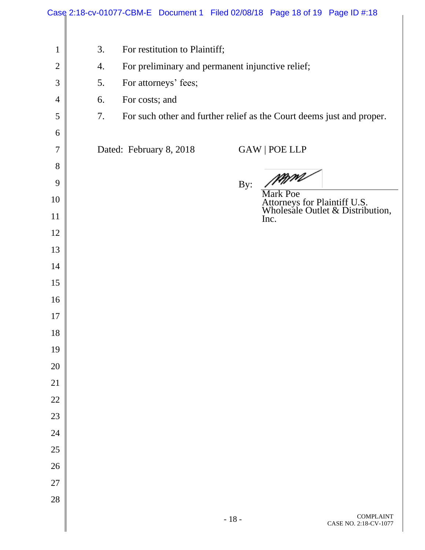|                |    |                         |                               |        | Case 2:18-cv-01077-CBM-E Document 1 Filed 02/08/18 Page 18 of 19 Page ID #:18       |  |
|----------------|----|-------------------------|-------------------------------|--------|-------------------------------------------------------------------------------------|--|
|                |    |                         |                               |        |                                                                                     |  |
| $\mathbf{1}$   | 3. |                         | For restitution to Plaintiff; |        |                                                                                     |  |
| $\overline{2}$ | 4. |                         |                               |        | For preliminary and permanent injunctive relief;                                    |  |
| 3              | 5. | For attorneys' fees;    |                               |        |                                                                                     |  |
| $\overline{4}$ | 6. | For costs; and          |                               |        |                                                                                     |  |
| 5              | 7. |                         |                               |        | For such other and further relief as the Court deems just and proper.               |  |
| 6              |    |                         |                               |        |                                                                                     |  |
| 7              |    | Dated: February 8, 2018 |                               |        | GAW   POE LLP                                                                       |  |
| 8              |    |                         |                               |        |                                                                                     |  |
| 9              |    |                         |                               | By:    | /MM<br>//                                                                           |  |
| 10             |    |                         |                               |        | <b>Mark Poe</b><br>Attorneys for Plaintiff U.S.<br>Wholesale Outlet & Distribution, |  |
| 11             |    |                         |                               |        | Inc.                                                                                |  |
| 12             |    |                         |                               |        |                                                                                     |  |
| 13             |    |                         |                               |        |                                                                                     |  |
| 14             |    |                         |                               |        |                                                                                     |  |
| 15             |    |                         |                               |        |                                                                                     |  |
| 16             |    |                         |                               |        |                                                                                     |  |
| 17             |    |                         |                               |        |                                                                                     |  |
| 18             |    |                         |                               |        |                                                                                     |  |
| 19             |    |                         |                               |        |                                                                                     |  |
| 20             |    |                         |                               |        |                                                                                     |  |
| 21             |    |                         |                               |        |                                                                                     |  |
| $22\,$         |    |                         |                               |        |                                                                                     |  |
| 23             |    |                         |                               |        |                                                                                     |  |
| 24             |    |                         |                               |        |                                                                                     |  |
| 25             |    |                         |                               |        |                                                                                     |  |
| 26             |    |                         |                               |        |                                                                                     |  |
| $27\,$         |    |                         |                               |        |                                                                                     |  |
| 28             |    |                         |                               |        |                                                                                     |  |
|                |    |                         |                               | $-18-$ | <b>COMPLAINT</b>                                                                    |  |

Π